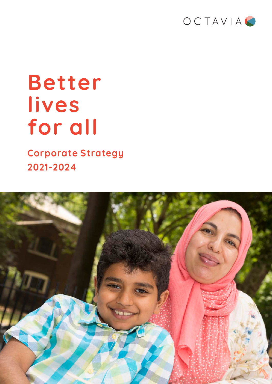

## **Better lives for all**

**Corporate Strategy 2021-2024**

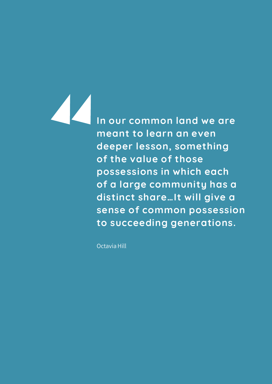**In our common land we are meant to learn an even deeper lesson, something of the value of those possessions in which each of a large community has a distinct share…It will give a sense of common possession to succeeding generations.**

Octavia Hill

Z Z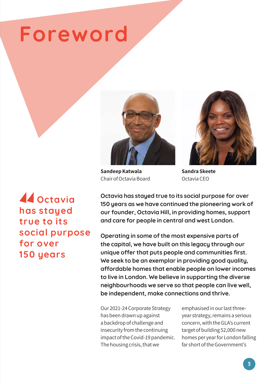## **Foreword**



**Sandeep Katwala** Chair of Octavia Board



**Sandra Skeete** Octavia CEO

*A* Octavia **has stayed true to its social purpose for over 150 years**

**Octavia has stayed true to its social purpose for over 150 years as we have continued the pioneering work of our founder, Octavia Hill, in providing homes, support and care for people in central and west London.**

**Operating in some of the most expensive parts of the capital, we have built on this legacy through our unique offer that puts people and communities first. We seek to be an exemplar in providing good quality, affordable homes that enable people on lower incomes to live in London. We believe in supporting the diverse neighbourhoods we serve so that people can live well, be independent, make connections and thrive.** 

Our 2021-24 Corporate Strategy has been drawn up against a backdrop of challenge and insecurity from the continuing impact of the Covid-19 pandemic. The housing crisis, that we

emphasised in our last threeyear strategy, remains a serious concern, with the GLA's current target of building 52,000 new homes per year for London falling far short of the Government's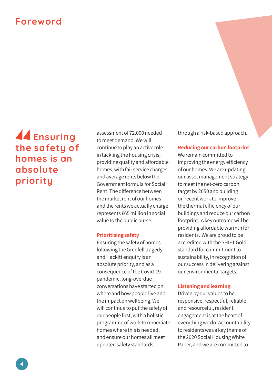### **Foreword**

## **Ensuring the safety of homes is an absolute priority**

assessment of 72,000 needed to meet demand. We will continue to play an active role in tackling the housing crisis, providing quality and affordable homes, with fair service charges and average rents below the Government formula for Social Rent. The difference between the market rent of our homes and the rents we actually charge represents £65 million in social value to the public purse.

#### **Prioritising safety**

Ensuring the safety of homes following the Grenfell tragedy and Hackitt enquiry is an absolute priority, and as a consequence of the Covid-19 pandemic, long-overdue conversations have started on where and how people live and the impact on wellbeing. We will continue to put the safety of our people first, with a holistic programme of work to remediate homes where this is needed, and ensure our homes all meet updated safety standards

through a risk-based approach.

#### **Reducing our carbon footprint**

We remain committed to improving the energy efficiency of our homes. We are updating our asset management strategy to meet the net-zero carbon target by 2050 and building on recent work to improve the thermal efficiency of our buildings and reduce our carbon footprint. A key outcome will be providing affordable warmth for residents. We are proud to be accredited with the SHIFT Gold standard for commitment to sustainability, in recognition of our success in delivering against our environmental targets.

#### **Listening and learning**

Driven by our values to be responsive, respectful, reliable and resourceful, resident engagement is at the heart of everything we do. Accountability to residents was a key theme of the 2020 Social Housing White Paper, and we are committed to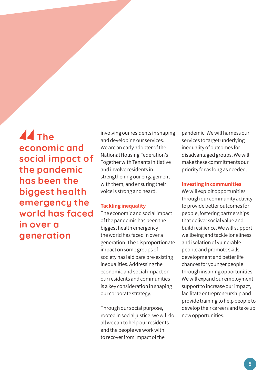**A** The **economic and social impact of the pandemic has been the biggest health emergency the world has faced in over a generation**

involving our residents in shaping and developing our services. We are an early adopter of the National Housing Federation's Together with Tenants initiative and involve residents in strengthening our engagement with them, and ensuring their voice is strong and heard.

#### **Tackling inequality**

The economic and social impact of the pandemic has been the biggest health emergency the world has faced in over a generation. The disproportionate impact on some groups of society has laid bare pre-existing inequalities. Addressing the economic and social impact on our residents and communities is a key consideration in shaping our corporate strategy.

Through our social purpose, rooted in social justice, we will do all we can to help our residents and the people we work with to recover from impact of the

pandemic. We will harness our services to target underlying inequality of outcomes for disadvantaged groups. We will make these commitments our priority for as long as needed.

#### **Investing in communities**

We will exploit opportunities through our community activity to provide better outcomes for people, fostering partnerships that deliver social value and build resilience. We will support wellbeing and tackle loneliness and isolation of vulnerable people and promote skills development and better life chances for younger people through inspiring opportunities. We will expand our employment support to increase our impact, facilitate entrepreneurship and provide training to help people to develop their careers and take up new opportunities.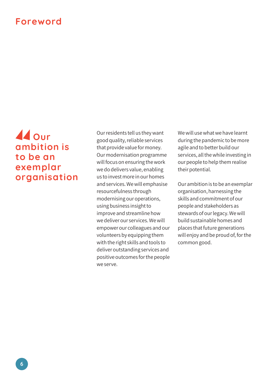### **Foreword**

### **Our ambition is to be an exemplar organisation**

Our residents tell us they want good quality, reliable services that provide value for money. Our modernisation programme will focus on ensuring the work we do delivers value, enabling us to invest more in our homes and services. We will emphasise resourcefulness through modernising our operations, using business insight to improve and streamline how we deliver our services. We will empower our colleagues and our volunteers by equipping them with the right skills and tools to deliver outstanding services and positive outcomes for the people we serve.

We will use what we have learnt during the pandemic to be more agile and to better build our services, all the while investing in our people to help them realise their potential.

Our ambition is to be an exemplar organisation, harnessing the skills and commitment of our people and stakeholders as stewards of our legacy. We will build sustainable homes and places that future generations will enjoy and be proud of, for the common good.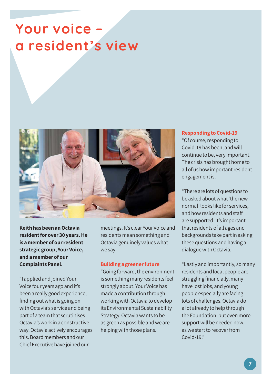## **Your voice – a resident's view**



**Keith has been an Octavia resident for over 30 years. He is a member of our resident strategic group, Your Voice, and a member of our Complaints Panel.**

"I applied and joined Your Voice four years ago and it's been a really good experience, finding out what is going on with Octavia's service and being part of a team that scrutinises Octavia's work in a constructive way. Octavia actively encourages this. Board members and our Chief Executive have joined our

meetings. It's clear Your Voice and residents mean something and Octavia genuinely values what we say.

#### **Building a greener future**

"Going forward, the environment is something many residents feel strongly about. Your Voice has made a contribution through working with Octavia to develop its Environmental Sustainability Strategy. Octavia wants to be as green as possible and we are helping with those plans.

#### **Responding to Covid-19**

"Of course, responding to Covid-19 has been, and will continue to be, very important. The crisis has brought home to all of us how important resident engagement is.

"There are lots of questions to be asked about what 'the new normal' looks like for services, and how residents and staff are supported. It's important that residents of all ages and backgrounds take part in asking these questions and having a dialogue with Octavia.

"Lastly and importantly, so many residents and local people are struggling financially, many have lost jobs, and young people especially are facing lots of challenges. Octavia do a lot already to help through the Foundation, but even more support will be needed now, as we start to recover from Covid-19."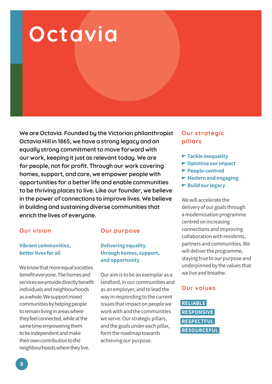# **Octavia**

**We are Octavia. Founded by the Victorian philanthropist Octavia Hill in 1865, we have a strong legacy and an equally strong commitment to move forward with our work, keeping it just as relevant today. We are for people, not for profit. Through our work covering homes, support, and care, we empower people with opportunities for a better life and enable communities to be thriving places to live. Like our founder, we believe in the power of connections to improve lives. We believe in building and sustaining diverse communities that enrich the lives of everyone.** 

#### **Our vision**

#### **Vibrant communities, better lives for all**

We know that more equal societies benefit everyone. The homes and services we provide directly benefit individuals and neighbourhoods as a whole. We support mixed communities by helping people to remain living in areas where they feel connected, while at the same time empowering them to be independent and make their own contribution to the neighbourhoods where they live.

#### **Our purpose**

#### **Delivering equality through homes, support, and opportunity**

Our aim is to be an exemplar as a landlord, in our communities and as an employer, and to lead the way in responding to the current issues that impact on people we work with and the communities we serve. Our strategic pillars, and the goals under each pillar, form the roadmap towards achieving our purpose.

#### **Our strategic pillars**

- **Tackle inequality**
- **Optimise our impact**
- **People-centred**
- **Modern and engaging**
- **► Build our legacy**

We will accelerate the delivery of our goals through a modernisation programme centred on increasing connections and improving collaboration with residents, partners and communities. We will deliver the programme, staying true to our purpose and underpinned by the values that we live and breathe.

#### **Our values**

**RELIABLE RESPONSIVE RESPECTFUL RESOURCEFUL**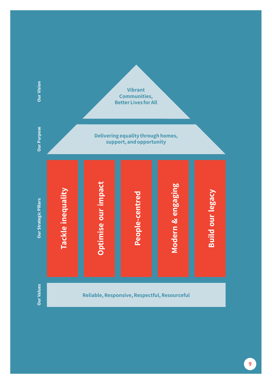

**9**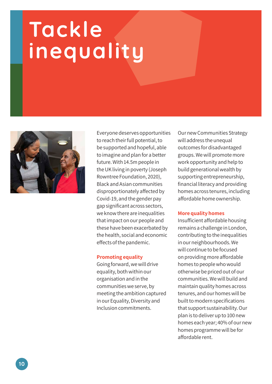# **Tackle inequality**



Everyone deserves opportunities to reach their full potential, to be supported and hopeful, able to imagine and plan for a better future. With 14.5m people in the UK living in poverty (Joseph Rowntree Foundation, 2020), Black and Asian communities disproportionately affected by Covid-19, and the gender pay gap significant across sectors, we know there are inequalities that impact on our people and these have been exacerbated by the health, social and economic effects of the pandemic.

#### **Promoting equality**

Going forward, we will drive equality, both within our organisation and in the communities we serve, by meeting the ambition captured in our Equality, Diversity and Inclusion commitments.

Our new Communities Strategy will address the unequal outcomes for disadvantaged groups. We will promote more work opportunity and help to build generational wealth by supporting entrepreneurship, financial literacy and providing homes across tenures, including affordable home ownership.

#### **More quality homes**

Insufficient affordable housing remains a challenge in London, contributing to the inequalities in our neighbourhoods. We will continue to be focused on providing more affordable homes to people who would otherwise be priced out of our communities. We will build and maintain quality homes across tenures, and our homes will be built to modern specifications that support sustainability. Our plan is to deliver up to 100 new homes each year; 40% of our new homes programme will be for affordable rent.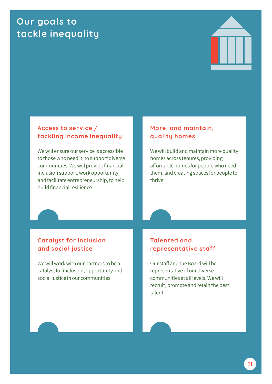### **Our goals to tackle inequality**



#### **Access to service / tackling income inequality**

We will ensure our service is accessible to those who need it, to support diverse communities. We will provide financial inclusion support, work opportunity, and facilitate entrepreneurship, to help build financial resilience.

#### **More, and maintain, quality homes**

We will build and maintain more quality homes across tenures, providing affordable homes for people who need them, and creating spaces for people to thrive.

#### **Catalyst for inclusion and social justice**

We will work with our partners to be a catalyst for inclusion, opportunity and social justice in our communities.

#### **Talented and representative staff**

Our staff and the Board will be representative of our diverse communities at all levels. We will recruit, promote and retain the best talent.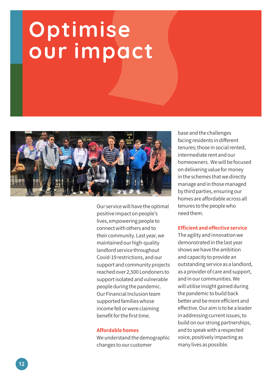# **Optimise our impact**



Our service will have the optimal positive impact on people's lives, empowering people to connect with others and to their community. Last year, we maintained our high-quality landlord service throughout Covid-19 restrictions, and our support and community projects reached over 2,500 Londoners to support isolated and vulnerable people during the pandemic. Our Financial Inclusion team supported families whose income fell or were claiming benefit for the first time.

#### **Affordable homes**

We understand the demographic changes to our customer

base and the challenges facing residents in different tenures; those in social rented, intermediate rent and our homeowners. We will be focused on delivering value for money in the schemes that we directly manage and in those managed by third parties, ensuring our homes are affordable across all tenures to the people who need them.

#### **Efficient and effective service**

The agility and innovation we demonstrated in the last year shows we have the ambition and capacity to provide an outstanding service as a landlord, as a provider of care and support, and in our communities. We will utilise insight gained during the pandemic to build back better and be more efficient and effective. Our aim is to be a leader in addressing current issues, to build on our strong partnerships, and to speak with a respected voice, positively impacting as many lives as possible.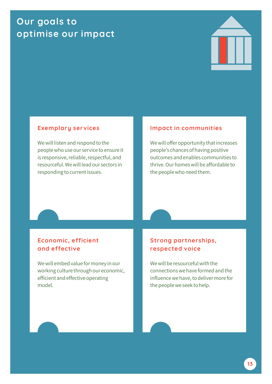### **Our goals to optimise our impact**



#### **Exemplary services**

We will listen and respond to the people who use our service to ensure it is responsive, reliable, respectful, and resourceful. We will lead our sectors in responding to current issues.

#### **Impact in communities**

We will offer opportunity that increases people's chances of having positive outcomes and enables communities to thrive. Our homes will be affordable to the people who need them.

#### **Economic, efficient and effective**

We will embed value for money in our working culture through our economic, efficient and effective operating model.

#### **Strong partnerships, respected voice**

We will be resourceful with the connections we have formed and the influence we have, to deliver more for the people we seek to help.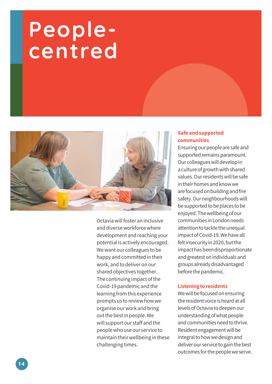## **Peoplecentred**



Octavia will foster an inclusive and diverse workforce where development and reaching your potential is actively encouraged. We want our colleagues to be happy and committed in their work, and to deliver on our shared objectives together. The continuing impact of the Covid-19 pandemic and the learning from this experience prompts us to review how we organise our work and bring out the best in people. We will support our staff and the people who use our service to maintain their wellbeing in these challenging times.

#### **Safe and supported communities**

Ensuring our people are safe and supported remains paramount. Our colleagues will develop in a culture of growth with shared values. Our residents will be safe in their homes and know we are focused on building and fire safety. Our neighbourhoods will be supported to be places to be enjoyed. The wellbeing of our communities in London needs attention to tackle the unequal impact of Covid-19. We have all felt insecurity in 2020, but the impact has been disproportionate and greatest on individuals and groups already disadvantaged before the pandemic.

#### **Listening to residents**

We will be focused on ensuring the resident voice is heard at all levels of Octavia to deepen our understanding of what people and communities need to thrive. Resident engagement will be integral to how we design and deliver our service to gain the best outcomes for the people we serve.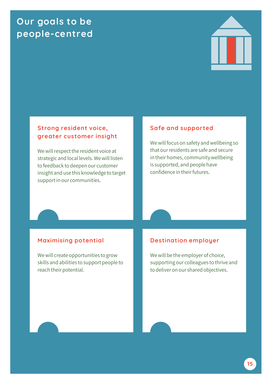### **Our goals to be people-centred**



#### **Strong resident voice, greater customer insight**

We will respect the resident voice at strategic and local levels. We will listen to feedback to deepen our customer insight and use this knowledge to target support in our communities.

#### **Safe and supported**

We will focus on safety and wellbeing so that our residents are safe and secure in their homes, community wellbeing is supported, and people have confidence in their futures.

#### **Maximising potential**

We will create opportunities to grow skills and abilities to support people to reach their potential.

#### **Destination employer**

We will be the employer of choice, supporting our colleagues to thrive and to deliver on our shared objectives.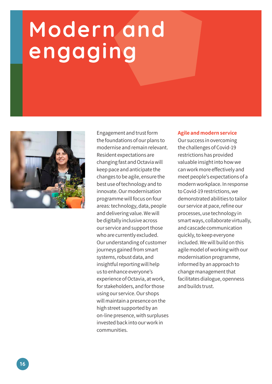# **Modern and engaging**



Engagement and trust form the foundations of our plans to modernise and remain relevant. Resident expectations are changing fast and Octavia will keep pace and anticipate the changes to be agile, ensure the best use of technology and to innovate. Our modernisation programme will focus on four areas: technology, data, people and delivering value. We will be digitally inclusive across our service and support those who are currently excluded. Our understanding of customer journeys gained from smart systems, robust data, and insightful reporting will help us to enhance everyone's experience of Octavia, at work, for stakeholders, and for those using our service. Our shops will maintain a presence on the high street supported by an on-line presence, with surpluses invested back into our work in communities.

#### **Agile and modern service**

Our success in overcoming the challenges of Covid-19 restrictions has provided valuable insight into how we can work more effectively and meet people's expectations of a modern workplace. In response to Covid-19 restrictions, we demonstrated abilities to tailor our service at pace, refine our processes, use technology in smart ways, collaborate virtually, and cascade communication quickly, to keep everyone included. We will build on this agile model of working with our modernisation programme, informed by an approach to change management that facilitates dialogue, openness and builds trust.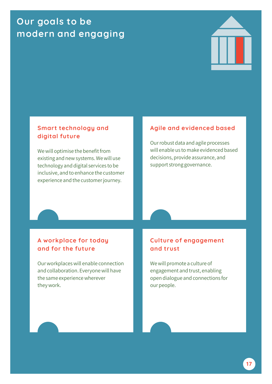### **Our goals to be modern and engaging**



#### **Smart technology and digital future**

We will optimise the benefit from existing and new systems. We will use technology and digital services to be inclusive, and to enhance the customer experience and the customer journey.

#### **Agile and evidenced based**

Our robust data and agile processes will enable us to make evidenced based decisions, provide assurance, and support strong governance.

#### **A workplace for today and for the future**

Our workplaces will enable connection and collaboration. Everyone will have the same experience wherever they work.

#### **Culture of engagement and trust**

We will promote a culture of engagement and trust, enabling open dialogue and connections for our people.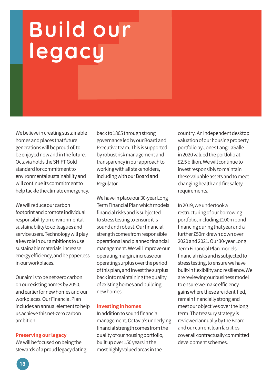# **Build our legacy**

We believe in creating sustainable homes and places that future generations will be proud of, to be enjoyed now and in the future. Octavia holds the SHIFT Gold standard for commitment to environmental sustainability and will continue its commitment to help tackle the climate emergency.

We will reduce our carbon footprint and promote individual responsibility on environmental sustainability to colleagues and service users. Technology will play a key role in our ambitions to use sustainable materials, increase energy efficiency, and be paperless in our workplaces.

Our aim is to be net-zero carbon on our existing homes by 2050, and earlier for new homes and our workplaces. Our Financial Plan includes an annual element to help us achieve this net-zero carbon ambition.

#### **Preserving our legacy**

We will be focused on being the stewards of a proud legacy dating back to 1865 through strong governance led by our Board and Executive team. This is supported by robust risk management and transparency in our approach to working with all stakeholders, including with our Board and Regulator.

We have in place our 30-year Long Term Financial Plan which models financial risks and is subjected to stress testing to ensure it is sound and robust. Our financial strength comes from responsible operational and planned financial management. We will improve our operating margin, increase our operating surplus over the period of this plan, and invest the surplus back into maintaining the quality of existing homes and building new homes.

#### **Investing in homes**

In addition to sound financial management, Octavia's underlying financial strength comes from the quality of our housing portfolio, built up over 150 years in the most highly valued areas in the

country. An independent desktop valuation of our housing property portfolio by Jones Lang LaSalle in 2020 valued the portfolio at £2.5 billion. We will continue to invest responsibly to maintain these valuable assets and to meet changing health and fire safety requirements.

In 2019, we undertook a restructuring of our borrowing portfolio, including £100m bond financing during that year and a further £50m drawn down over 2020 and 2021. Our 30-year Long Term Financial Plan models financial risks and is subjected to stress testing, to ensure we have built-in flexibility and resilience. We are reviewing our business model to ensure we make efficiency gains where these are identified, remain financially strong and meet our objectives over the long term. The treasury strategy is reviewed annually by the Board and our current loan facilities cover all contractually committed development schemes.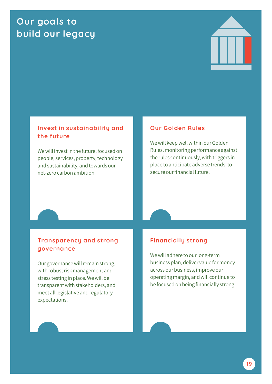### **Our goals to build our legacy**



#### **Invest in sustainability and the future**

We will invest in the future, focused on people, services, property, technology and sustainability, and towards our net-zero carbon ambition.

#### **Our Golden Rules**

We will keep well within our Golden Rules, monitoring performance against the rules continuously, with triggers in place to anticipate adverse trends, to secure our financial future.

#### **Transparency and strong governance**

Our governance will remain strong, with robust risk management and stress testing in place. We will be transparent with stakeholders, and meet all legislative and regulatory expectations.

#### **Financially strong**

We will adhere to our long-term business plan, deliver value for money across our business, improve our operating margin, and will continue to be focused on being financially strong.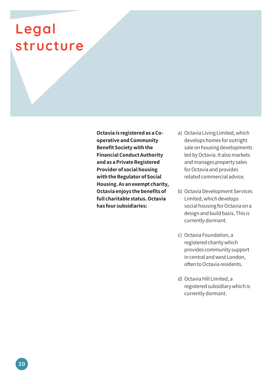## **Legal structure**

**Octavia is registered as a Cooperative and Community Benefit Society with the Financial Conduct Authority and as a Private Registered Provider of social housing with the Regulator of Social Housing. As an exempt charity, Octavia enjoys the benefits of full charitable status. Octavia has four subsidiaries:**

- a) Octavia Living Limited, which develops homes for outright sale on housing developments led by Octavia. It also markets and manages property sales for Octavia and provides related commercial advice.
- b) Octavia Development Services Limited, which develops social housing for Octavia on a design and build basis. This is currently dormant.
- c) Octavia Foundation, a registered charity which provides community support in central and west London, often to Octavia residents.
- d) Octavia Hill Limited, a registered subsidiary which is currently dormant.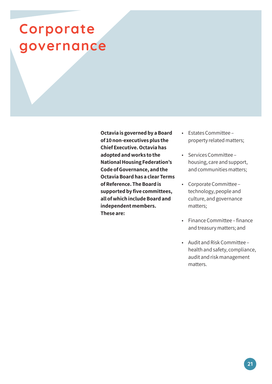## **Corporate governance**

**Octavia is governed by a Board of 10 non-executives plus the Chief Executive. Octavia has adopted and works to the National Housing Federation's Code of Governance, and the Octavia Board has a clear Terms of Reference. The Board is supported by five committees, all of which include Board and independent members. These are:**

- Estates Committee property related matters;
- Services Committee housing, care and support, and communities matters;
- Corporate Committee technology, people and culture, and governance matters;
- Finance Committee finance and treasury matters; and
- Audit and Risk Committee health and safety, compliance, audit and risk management matters.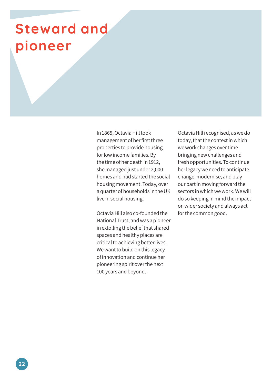## **Steward and pioneer**

In 1865, Octavia Hill took management of her first three properties to provide housing for low income families. By the time of her death in 1912, she managed just under 2,000 homes and had started the social housing movement. Today, over a quarter of households in the UK live in social housing.

Octavia Hill also co-founded the National Trust, and was a pioneer in extolling the belief that shared spaces and healthy places are critical to achieving better lives. We want to build on this legacy of innovation and continue her pioneering spirit over the next 100 years and beyond.

Octavia Hill recognised, as we do today, that the context in which we work changes over time bringing new challenges and fresh opportunities. To continue her legacy we need to anticipate change, modernise, and play our part in moving forward the sectors in which we work. We will do so keeping in mind the impact on wider society and always act for the common good.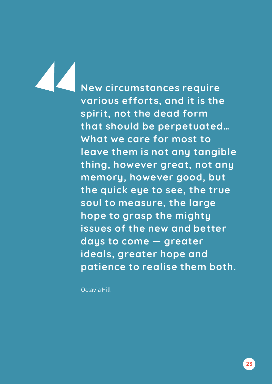**New circumstances require various efforts, and it is the spirit, not the dead form that should be perpetuated… What we care for most to leave them is not any tangible thing, however great, not any memory, however good, but the quick eye to see, the true soul to measure, the large hope to grasp the mighty issues of the new and better days to come — greater ideals, greater hope and patience to realise them both.**

Octavia Hill